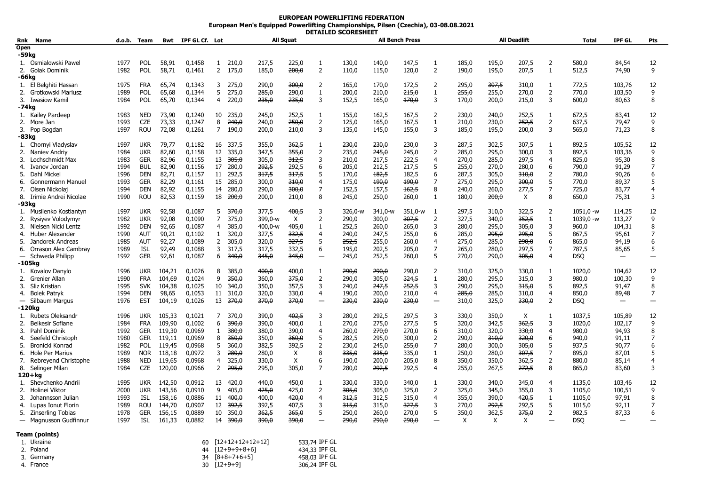## **EUROPEAN POWERLIFTING FEDERATION European Men's Equipped Powerlifting Championships, Pilsen (Czechia), 03-08.08.2021 DETAILED SCORESHEET**

| Rnk   | Name                     |      | d.o.b. Team | Bwt    | IPF GL Cf. Lot |                |                    |           | <b>All Squat</b>          |                          |         |         | <b>All Bench Press</b> |                          |       |       | <b>All Deadlift</b> |                | Total       | <b>IPF GL</b>            | Pts            |
|-------|--------------------------|------|-------------|--------|----------------|----------------|--------------------|-----------|---------------------------|--------------------------|---------|---------|------------------------|--------------------------|-------|-------|---------------------|----------------|-------------|--------------------------|----------------|
| Open  |                          |      |             |        |                |                |                    |           |                           |                          |         |         |                        |                          |       |       |                     |                |             |                          |                |
| -59kg |                          |      |             |        |                |                |                    |           |                           |                          |         |         |                        |                          |       |       |                     |                |             |                          |                |
|       | 1. Osmialowski Pawel     | 1977 | <b>POL</b>  | 58,91  | 0,1458         | $\mathbf{1}$   | 210,0              | 217,5     | 225,0                     | 1                        | 130,0   | 140,0   | 147,5                  | $\mathbf{1}$             | 185,0 | 195,0 | 207,5               | $\overline{2}$ | 580,0       | 84,54                    | 12             |
|       | 2. Golak Dominik         | 1982 | POL         | 58,71  | 0,1461         |                | 2 175,0            | 185,0     | 200,0                     | 2                        | 110,0   | 115,0   | 120,0                  | 2                        | 190,0 | 195,0 | 207,5               | $\mathbf{1}$   | 512,5       | 74,90                    | 9              |
| -66kg |                          |      |             |        |                |                |                    |           |                           |                          |         |         |                        |                          |       |       |                     |                |             |                          |                |
|       | 1. El Belghiti Hassan    | 1975 | <b>FRA</b>  | 65,74  | 0,1343         | 3              | 275,0              | 290,0     | 300,0                     | 2                        | 165,0   | 170,0   | 172,5                  | 2                        | 295,0 | 307,5 | 310,0               | 1              | 772,5       | 103,76                   | 12             |
|       | 2. Grotkowski Mariusz    | 1989 | POL         | 65,68  | 0,1344         | 5              | 275,0              | 285,0     | 290,0                     | $\mathbf{1}$             | 200,0   | 210,0   | 215,0                  | $\mathbf{1}$             | 255,0 | 255,0 | 270,0               | 2              | 770,0       | 103,50                   | 9              |
|       | 3. Iwasiow Kamil         | 1984 | <b>POL</b>  | 65,70  | 0,1344         | $\overline{4}$ | 220,0              | 235,0     | 235,0                     | 3                        | 152,5   | 165,0   | 170,0                  | 3                        | 170,0 | 200,0 | 215,0               | 3              | 600,0       | 80,63                    | 8              |
| -74kg |                          |      |             |        |                |                |                    |           |                           |                          |         |         |                        |                          |       |       |                     |                |             |                          |                |
|       | 1. Kailey Pardeep        | 1983 | <b>NED</b>  | 73,90  | 0,1240         | 10             | 235,0              | 245,0     | 252,5                     | 1                        | 155,0   | 162,5   | 167,5                  | $\overline{2}$           | 230,0 | 240,0 | 252,5               | $\mathbf{1}$   | 672,5       | 83,41                    | 12             |
|       | 2. More Jan              | 1993 | <b>CZE</b>  | 73,33  | 0,1247         | 8              | 240,0              | 240,0     | 250,0                     | $\overline{2}$           | 125,0   | 165,0   | 167,5                  | $\mathbf{1}$             | 210,0 | 230,0 | 252,5               | $\overline{2}$ | 637,5       | 79,47                    | 9              |
|       | 3. Pop Bogdan            | 1997 | <b>ROU</b>  | 72,08  | 0,1261         | $\overline{7}$ | 190,0              | 200,0     | 210,0                     | 3                        | 135,0   | 145,0   | 155,0                  | 3                        | 185,0 | 195,0 | 200,0               | 3              | 565,0       | 71,23                    | 8              |
| -83kg |                          |      |             |        |                |                |                    |           |                           |                          |         |         |                        |                          |       |       |                     |                |             |                          |                |
|       | 1. Chornyi Vladyslav     | 1997 | <b>UKR</b>  | 79,77  | 0,1182         | 16             | 337,5              | 355,0     | 362,5                     | 1                        | 230,0   | 230,0   | 230.0                  | 3                        | 287,5 | 302,5 | 307,5               | 1              | 892,5       | 105,52                   | 12             |
|       | 2. Naniev Andriy         | 1984 | <b>UKR</b>  | 82,60  | 0,1158         | 12             | 335,0              | 347,5     | 355,0                     | $\overline{2}$           | 235,0   | 245,0   | 245,0                  | $\overline{2}$           | 285,0 | 295,0 | 300,0               | 3              | 892,5       | 103,36                   | 9              |
|       | 3. Lochschmidt Max       | 1983 | <b>GER</b>  | 82,96  | 0,1155         | 13             | 305,0              | 305,0     | 312,5                     | 3                        | 210,0   | 217,5   | 222,5                  | 4                        | 270,0 | 285,0 | 297,5               | $\overline{4}$ | 825,0       | 95,30                    | 8              |
|       | 4. Ivanov Jordan         | 1994 | <b>BUL</b>  | 82,90  | 0,1156         | 17             | 280,0              | 292,5     | 292,5                     | 6                        | 205,0   | 212,5   | 217.5                  | 5                        | 255,0 | 270.0 | 280,0               | 6              | 790.0       | 91,29                    | 7              |
| 5.    | Dahl Mickel              | 1996 | <b>DEN</b>  | 82,71  | 0,1157         | 11             | 292,5              | 317,5     | 317,5                     | 5                        | 170,0   | 182,5   | 182,5                  | 6                        | 287,5 | 305,0 | 310,0               | $\overline{2}$ | 780,0       | 90,26                    | 6              |
|       | 6. Gonnermann Manuel     | 1993 | <b>GER</b>  | 82,29  | 0,1161         | 15             | 285,0              | 300,0     | 310,0                     | 4                        | 175,0   | 490,0   | 190,0                  | $\overline{7}$           | 275,0 | 295,0 | 300,0               | 5              | 770,0       | 89,37                    | 5              |
|       |                          | 1994 | <b>DEN</b>  | 82,92  |                |                | 280,0              | 290,0     | 300,0                     | 7                        |         |         |                        | 8                        |       |       |                     | $\overline{7}$ | 725,0       |                          | 4              |
|       | 7. Olsen Nickolaj        |      |             |        | 0,1155         | 14             |                    |           |                           | 8                        | 152,5   | 157,5   | 162,5                  |                          | 240,0 | 260,0 | 277,5               | 8              |             | 83,77                    | 3              |
|       | 8. Irimie Andrei Nicolae | 1990 | <b>ROU</b>  | 82,53  | 0,1159         | 18             | <del>200,0</del>   | 200,0     | 210,0                     |                          | 245,0   | 250,0   | 260,0                  | $\mathbf{1}$             | 180,0 | 200,0 | X                   |                | 650,0       | 75,31                    |                |
| -93kg |                          |      |             |        |                |                |                    |           |                           |                          |         |         |                        |                          |       |       |                     |                |             |                          |                |
|       | 1. Musiienko Kostiantyn  | 1997 | <b>UKR</b>  | 92,58  | 0,1087         | 5              | 370,0              | 377,5     | 400,5                     | 3                        | 326,0-w | 341,0-w | 351,0-w                | 1                        | 297,5 | 310,0 | 322,5               | 2              | $1051,0 -w$ | 114,25                   | 12             |
| 2.    | Rysiyev Volodymyr        | 1982 | <b>UKR</b>  | 92,08  | 0,1090         | $\overline{7}$ | 375,0              | 399,0-w   | $\boldsymbol{\mathsf{X}}$ | 2                        | 290,0   | 300,0   | 307,5                  | 2                        | 327,5 | 340,0 | 352,5               | $\mathbf{1}$   | 1039,0 -w   | 113,27                   | 9              |
| 3.    | Nielsen Nicki Lentz      | 1992 | DEN         | 92,65  | 0,1087         | 4              | 385,0              | $400,0-w$ | 405,0                     | 1                        | 252,5   | 260,0   | 265,0                  | 3                        | 280,0 | 295,0 | 305,0               | 3              | 960,0       | 104,31                   | 8              |
|       | 4. Huber Alexander       | 1990 | AUT         | 90,21  | 0,1102         | $\mathbf{1}$   | 320,0              | 327,5     | 332,5                     | $\overline{4}$           | 240,0   | 247,5   | 255,0                  | 6                        | 285,0 | 295,0 | 295,0               | 5              | 867,5       | 95,61                    | $\overline{7}$ |
| 5.    | Jandorek Andreas         | 1985 | AUT         | 92,27  | 0,1089         | $\overline{2}$ | 305,0              | 320,0     | 327,5                     | 5                        | 252,5   | 255,0   | 260,0                  | 4                        | 275,0 | 285,0 | 290,0               | 6              | 865,0       | 94,19                    | 6              |
|       | 6. Orrason Alex Cambray  | 1989 | ISL         | 92,49  | 0,1088         | 3              | 317,5              | 317,5     | 332,5                     | 6                        | 195,0   | 202,5   | 205,0                  | 7                        | 265,0 | 280,0 | 297,5               | 7              | 787,5       | 85,65                    | 5              |
|       | - Schweda Philipp        | 1992 | <b>GER</b>  | 92,61  | 0,1087         | 6              | 340,0              | 345,0     | 345,0                     | $\overline{\phantom{0}}$ | 245,0   | 252,5   | 260,0                  | 5                        | 270,0 | 290,0 | 305,0               | $\overline{4}$ | DSQ         | $\overline{\phantom{0}}$ |                |
|       | -105kg                   |      |             |        |                |                |                    |           |                           |                          |         |         |                        |                          |       |       |                     |                |             |                          |                |
|       | 1. Kovalov Danylo        | 1996 | <b>UKR</b>  | 104,21 | 0,1026         | 8              | 385,0              | 400,0     | 400,0                     | -1                       | 290,0   | 290,0   | 290,0                  | $\overline{2}$           | 310,0 | 325,0 | 330,0               | $\mathbf{1}$   | 1020,0      | 104,62                   | 12             |
| 2.    | Grenier Allan            | 1990 | <b>FRA</b>  | 104,69 | 0,1024         | 9              | 350,0              | 360,0     | 375,0                     | 2                        | 290,0   | 305,0   | 324,5                  | $\mathbf{1}$             | 280,0 | 295,0 | 315,0               | 3              | 980,0       | 100,30                   | 9              |
| 3.    | Sliz Kristian            | 1995 | <b>SVK</b>  | 104,38 | 0,1025         | 10             | 340,0              | 350,0     | 357,5                     | 3                        | 240,0   | 247,5   | 252,5                  | 3                        | 290,0 | 295,0 | 315,0               | 5              | 892,5       | 91,47                    | 8              |
|       | 4. Bolek Patryk          | 1994 | <b>DEN</b>  | 98,65  | 0,1053         | 11             | 310,0              | 320,0     | 330,0                     | 4                        | 190,0   | 200,0   | 210,0                  | 4                        | 285,0 | 285,0 | 310,0               | $\overline{4}$ | 850,0       | 89,48                    | 7              |
|       | - Silbaum Margus         | 1976 | <b>EST</b>  | 104,19 | 0,1026         |                | 13 370,0           | 370,0     | 370,0                     | $\overline{\phantom{0}}$ | 230,0   | 230,0   | 230,0                  | —                        | 310,0 | 325,0 | 330,0               | $\overline{2}$ | <b>DSQ</b>  | -                        |                |
|       | -120kg                   |      |             |        |                |                |                    |           |                           |                          |         |         |                        |                          |       |       |                     |                |             |                          |                |
|       | 1. Rubets Oleksandr      | 1996 | <b>UKR</b>  | 105,33 | 0,1021         | 7              | 370,0              | 390,0     | 402,5                     | 3                        | 280,0   | 292,5   | 297,5                  | 3                        | 330,0 | 350,0 | X                   | $\mathbf{1}$   | 1037,5      | 105,89                   | 12             |
|       | 2. Belkesir Sofiane      | 1984 | <b>FRA</b>  | 109,90 | 0,1002         | 6              | 390,0              | 390,0     | 400,0                     | 1                        | 270,0   | 275,0   | 277,5                  | 5                        | 320,0 | 342,5 | 362,5               | 3              | 1020.0      | 102,17                   | 9              |
| 3.    | Pahl Dominik             | 1992 | <b>GER</b>  | 119,30 | 0,0969         | $\mathbf{1}$   | 380,0              | 380,0     | 390,0                     | 4                        | 260,0   | 270,0   | 270,0                  | 6                        | 310,0 | 320,0 | 330,0               | 4              | 980,0       | 94,93                    | 8              |
| 4.    | Seefeld Christoph        | 1980 | <b>GER</b>  | 119,11 | 0,0969         | 8              | 350,0              | 350,0     | 360,0                     | 5                        | 282,5   | 295,0   | 300,0                  | $\overline{2}$           | 290,0 | 310,0 | 320,0               | 6              | 940,0       | 91,11                    | 7              |
| 5.    | Bronicki Konrad          | 1982 | POL         | 119,45 | 0,0968         | 5              | 360,0              | 382,5     | 392,5                     | 2                        | 230,0   | 245,0   | 255,0                  | $\overline{7}$           | 280,0 | 300,0 | 305,0               | 5              | 937,5       | 90,77                    | 6              |
| 6.    | Hole Per Marius          | 1989 | <b>NOR</b>  | 118,18 | 0,0972         | 3              | <del>280,0</del>   | 280,0     | Χ                         | 8                        | 335,0   | 335,0   | 335,0                  | $\mathbf{1}$             | 250,0 | 280,0 | 307,5               | 7              | 895,0       | 87,01                    | 5              |
|       | 7. Rebreyend Christophe  | 1988 | <b>NED</b>  | 119,65 | 0,0968         | $\overline{4}$ | 325,0              | 330,0     | X                         | 6                        | 190,0   | 200,0   | 205,0                  | 8                        | 350,0 | 350,0 | 362,5               | $\overline{2}$ | 880,0       | 85,14                    | 4              |
|       | 8. Selinger Milan        | 1984 | <b>CZE</b>  | 120,00 | 0,0966         | $\overline{2}$ | 295,0              | 295,0     | 305,0                     | 7                        | 280,0   | 292,5   | 292,5                  | 4                        | 255,0 | 267,5 | 272,5               | 8              | 865,0       | 83,60                    | 3              |
|       | 120+ka                   |      |             |        |                |                |                    |           |                           |                          |         |         |                        |                          |       |       |                     |                |             |                          |                |
| 1.    | Shevchenko Andrii        | 1995 | <b>UKR</b>  | 142,50 | 0,0912         | 13             | 420,0              | 440,0     | 450,0                     | 1                        | 330,0   | 330,0   | 340,0                  | $\mathbf{1}$             | 330,0 | 340,0 | 345,0               | 4              | 1135,0      | 103,46                   | 12             |
|       | 2. Holinei Viktor        | 2000 | <b>UKR</b>  | 143,56 | 0,0910         | 9              | 405,0              | 425,0     | 425,0                     | 2                        | 305,0   | 305,0   | 325,0                  | 2                        | 325,0 | 345,0 | 355,0               | 3              | 1105.0      | 100,51                   | 9              |
| 3.    | Johannsson Julian        | 1993 | ISL         | 158,16 | 0,0886         | 11             | 400,0              | 400,0     | 420,0                     | 4                        | 312,5   | 312,5   | 315,0                  | 4                        | 355,0 | 390,0 | 420,5               | $\mathbf{1}$   | 1105,0      | 97,91                    | 8              |
|       | 4. Lupas Ionut Florin    | 1989 | <b>ROU</b>  | 144,70 | 0,0907         | 12             | 392,5              | 392,5     | 407,5                     | 3                        | 315,0   | 315,0   | 327,5                  | 3                        | 270,0 | 292,5 | 292,5               | 5              | 1015,0      | 92,11                    | 7              |
|       | 5. Zinserling Tobias     | 1978 | <b>GER</b>  | 156,15 | 0,0889         | 10             | 350,0              | 362,5     | 365,0                     | 5                        | 250,0   | 260,0   | 270,0                  | 5                        | 350,0 | 362,5 | 375,0               | $\overline{2}$ | 982,5       | 87,33                    | 6              |
|       | - Magnusson Gudfinnur    | 1997 | <b>ISL</b>  | 161,33 | 0,0882         | 14             | 390,0              | 390,0     | 390,0                     | $\overline{\phantom{0}}$ | 290,0   | 290,0   | 290,0                  | $\overline{\phantom{0}}$ | Χ     | Χ     | Χ                   |                | <b>DSQ</b>  |                          |                |
|       |                          |      |             |        |                |                |                    |           |                           |                          |         |         |                        |                          |       |       |                     |                |             |                          |                |
|       | Team (points)            |      |             |        |                |                |                    |           |                           |                          |         |         |                        |                          |       |       |                     |                |             |                          |                |
|       | 1. Ukraine               |      |             |        | 60             |                | $[12+12+12+12+12]$ |           |                           | 533,74 IPF GL            |         |         |                        |                          |       |       |                     |                |             |                          |                |
|       | 2. Poland                |      |             |        | 44             |                | $[12+9+9+8+6]$     |           |                           | 434,33 IPF GL            |         |         |                        |                          |       |       |                     |                |             |                          |                |
|       |                          |      |             |        |                |                |                    |           |                           |                          |         |         |                        |                          |       |       |                     |                |             |                          |                |

| _______ |            |                    | .             |
|---------|------------|--------------------|---------------|
|         | 3. Germany | $34$ $[8+8+7+6+5]$ | 458,03 IPF GL |
|         | 4. France  | $30$ $[12+9+9]$    | 306,24 IPF GL |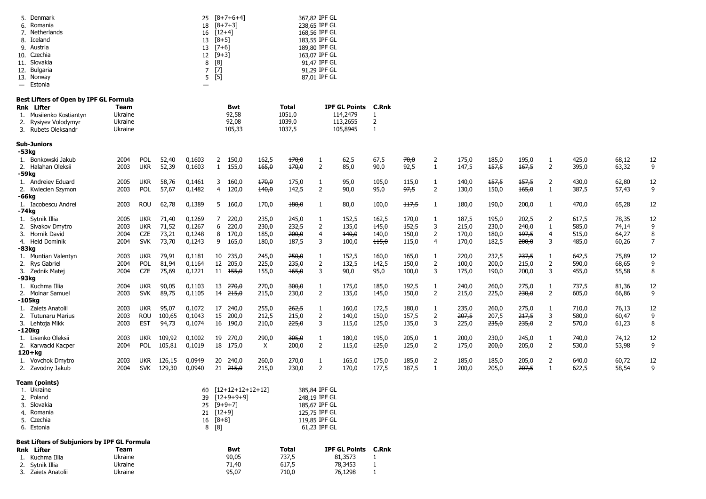|       | 5. Denmark<br>6. Romania<br>7. Netherlands<br>8. Iceland<br>9. Austria<br>10. Czechia<br>11. Slovakia<br>12. Bulgaria<br>13. Norway<br>— Estonia | 25<br>18<br>16<br>13<br>13<br>12<br>8<br>$\overline{7}$<br>Ξ. | $[8+5]$<br>$[7+6]$<br>$[9+3]$<br>[8]<br>[7]<br>5 [5] | $[8+7+6+4]$<br>$[8+7+3]$<br>$[12+4]$ |                  | 367,82 IPF GL<br>238,65 IPF GL<br>168,56 IPF GL<br>183,55 IPF GL<br>189,80 IPF GL<br>163,07 IPF GL<br>91,47 IPF GL<br>91,29 IPF GL<br>87,01 IPF GL |                       |                  |                 |                                |                                        |                |                |                     |                |                |                |                     |                |                |        |
|-------|--------------------------------------------------------------------------------------------------------------------------------------------------|---------------------------------------------------------------|------------------------------------------------------|--------------------------------------|------------------|----------------------------------------------------------------------------------------------------------------------------------------------------|-----------------------|------------------|-----------------|--------------------------------|----------------------------------------|----------------|----------------|---------------------|----------------|----------------|----------------|---------------------|----------------|----------------|--------|
|       | Best Lifters of Open by IPF GL Formula                                                                                                           |                                                               |                                                      |                                      |                  |                                                                                                                                                    |                       |                  |                 |                                |                                        |                |                |                     |                |                |                |                     |                |                |        |
|       | Rnk Lifter<br>1. Musiienko Kostiantyn                                                                                                            | Team<br>Ukraine                                               |                                                      |                                      |                  |                                                                                                                                                    | Bwt<br>92,58          |                  | Total<br>1051,0 |                                | <b>IPF GL Points C.Rnk</b><br>114,2479 |                |                |                     |                |                |                |                     |                |                |        |
| 2.    | Rysiyev Volodymyr                                                                                                                                | Ukraine                                                       |                                                      |                                      |                  |                                                                                                                                                    | 92,08                 |                  | 1039,0          |                                | 113,2655                               | 2              |                |                     |                |                |                |                     |                |                |        |
|       | 3. Rubets Oleksandr                                                                                                                              | Ukraine                                                       |                                                      |                                      |                  |                                                                                                                                                    | 105,33                |                  | 1037,5          |                                | 105,8945                               | $\mathbf{1}$   |                |                     |                |                |                |                     |                |                |        |
| -53kg | Sub-Juniors                                                                                                                                      |                                                               |                                                      |                                      |                  |                                                                                                                                                    |                       |                  |                 |                                |                                        |                |                |                     |                |                |                |                     |                |                |        |
|       | 1. Bonkowski Jakub                                                                                                                               | 2004                                                          | <b>POL</b>                                           | 52,40                                | 0,1603           | $\mathbf{2}$                                                                                                                                       | 150,0                 | 162,5            | 170,0           | 1                              | 62,5                                   | 67,5           | 70,0           | 2                   | 175,0          | 185,0          | 195,0          | 1                   | 425,0          | 68,12          | 12     |
| -59kg | 2. Halahan Oleksii                                                                                                                               | 2003                                                          | <b>UKR</b>                                           | 52,39                                | 0,1603           | $\mathbf{1}$                                                                                                                                       | 155,0                 | 165,0            | 170,0           | $\overline{2}$                 | 85,0                                   | 90,0           | 92,5           | 1                   | 147,5          | 157,5          | 167,5          | $\overline{2}$      | 395,0          | 63,32          | 9      |
|       | 1. Andreiev Eduard                                                                                                                               | 2005                                                          | <b>UKR</b>                                           | 58,76                                | 0,1461           | 3                                                                                                                                                  | 160,0                 | <del>170,0</del> | 175,0           | 1                              | 95,0                                   | 105,0          | 115,0          | $\mathbf{1}$        | 140,0          | 157,5          | 157,5          | $\mathbf{2}$        | 430,0          | 62,80          | 12     |
|       | 2. Kwiecien Szymon                                                                                                                               | 2003                                                          | POL                                                  | 57,67                                | 0,1482           | 4                                                                                                                                                  | 120,0                 | 140,0            | 142,5           | $\overline{2}$                 | 90,0                                   | 95,0           | 97,5           | 2                   | 130,0          | 150,0          | 165,0          | 1                   | 387,5          | 57,43          | 9      |
| -66kg |                                                                                                                                                  |                                                               |                                                      |                                      |                  |                                                                                                                                                    |                       |                  |                 |                                |                                        |                |                |                     |                |                |                |                     |                |                | 12     |
| -74kg | 1. Iacobescu Andrei                                                                                                                              | 2003                                                          | ROU                                                  | 62,78                                | 0,1389           | 5                                                                                                                                                  | 160,0                 | 170,0            | 480,0           | 1                              | 80,0                                   | 100,0          | 117,5          | 1                   | 180,0          | 190,0          | 200,0          | 1                   | 470,0          | 65,28          |        |
|       | 1. Sytnik Illia                                                                                                                                  | 2005                                                          | ukr                                                  | 71,40                                | 0,1269           | 7                                                                                                                                                  | 220,0                 | 235,0            | 245,0           | 1                              | 152,5                                  | 162,5          | 170,0          | 1                   | 187,5          | 195,0          | 202,5          | $\overline{2}$      | 617,5          | 78,35          | 12     |
|       | Sivakov Dmytro                                                                                                                                   | 2003                                                          | ukr                                                  | 71,52                                | 0,1267           | 6                                                                                                                                                  | 220,0                 | 230,0            | 232,5           | 2                              | 135,0                                  | 145,0          | 152,5          | 3                   | 215,0          | 230,0          | 240,0          | 1                   | 585,0          | 74,14          | 9      |
| 3.    | Hornik David                                                                                                                                     | 2004                                                          | CZE                                                  | 73,21                                | 0,1248           | 8                                                                                                                                                  | 170,0                 | 185,0            | 200,0           | 4                              | 140,0                                  | 140,0          | 150,0          | $\overline{2}$      | 170,0          | 180,0          | 197,5          | 4                   | 515,0          | 64,27          | 8      |
| -83kg | 4. Held Dominik                                                                                                                                  | 2004                                                          | <b>SVK</b>                                           | 73,70                                | 0,1243           | 9                                                                                                                                                  | 165,0                 | 180,0            | 187,5           | 3                              | 100,0                                  | 115,0          | 115,0          | 4                   | 170,0          | 182,5          | 200,0          | 3                   | 485,0          | 60,26          | 7      |
|       | 1. Muntian Valentyn                                                                                                                              | 2003                                                          | ukr                                                  | 79,91                                | 0,1181           |                                                                                                                                                    | 10 235,0              | 245,0            | 250,0           | 1                              | 152,5                                  | 160,0          | 165,0          | $\mathbf{1}$        | 220,0          | 232,5          | 237,5          | 1                   | 642,5          | 75,89          | 12     |
|       | 2. Rys Gabriel                                                                                                                                   | 2004                                                          | POL                                                  | 81,94                                | 0,1164           | 12                                                                                                                                                 | 205,0                 | 225,0            | 235,0           | $\overline{2}$                 | 132,5                                  | 142,5          | 150,0          | $\overline{2}$      | 100,0          | 200,0          | 215,0          | $\overline{2}$      | 590,0          | 68,65          | 9      |
| -93kg | 3. Zednik Matej                                                                                                                                  | 2004                                                          | CZE                                                  | 75,69                                | 0,1221           |                                                                                                                                                    | $11 \t 155,0$         | 155,0            | 165,0           | 3                              | 90,0                                   | 95,0           | 100,0          | 3                   | 175,0          | 190,0          | 200,0          | 3                   | 455,0          | 55,58          | 8      |
|       | 1. Kuchma Illia                                                                                                                                  | 2004                                                          | ukr                                                  | 90,05                                | 0,1103           |                                                                                                                                                    | $13 \t270,0$          | 270,0            | 300,0           | 1                              | 175,0                                  | 185,0          | 192,5          | $\mathbf{1}$        | 240,0          | 260,0          | 275,0          | 1                   | 737,5          | 81,36          | 12     |
|       | 2. Molnar Samuel                                                                                                                                 | 2003                                                          | <b>SVK</b>                                           | 89,75                                | 0,1105           |                                                                                                                                                    | $14 \t215,0$          | 215,0            | 230,0           | $\overline{2}$                 | 135,0                                  | 145,0          | 150,0          | $\overline{2}$      | 215,0          | 225,0          | 230,0          | $\overline{2}$      | 605,0          | 66,86          | 9      |
|       | -105kg                                                                                                                                           |                                                               |                                                      |                                      |                  |                                                                                                                                                    |                       |                  |                 |                                |                                        |                |                |                     |                |                |                |                     |                |                |        |
|       | 1. Zaiets Anatolii                                                                                                                               | 2003                                                          | ukr                                                  | 95,07                                | 0,1072           | 17                                                                                                                                                 | 240,0                 | 255,0            | 262,5           | 1                              | 160,0                                  | 172,5          | 180,0          | 1                   | 235,0          | 260,0          | 275,0          | 1                   | 710,0          | 76,13          | 12     |
|       | 2. Tutunaru Marius<br>3. Lehtoja Mikk                                                                                                            | 2003<br>2003                                                  | ROU<br>EST                                           | 100,65<br>94,73                      | 0,1043<br>0,1074 | 15                                                                                                                                                 | 200,0<br>16 190,0     | 212,5<br>210,0   | 215,0<br>225,0  | $\overline{2}$<br>3            | 140,0<br>115,0                         | 150,0<br>125,0 | 157,5<br>135,0 | $\overline{2}$<br>3 | 207,5<br>225,0 | 207,5<br>235,0 | 217,5<br>235,0 | 3<br>$\overline{2}$ | 580,0<br>570,0 | 60,47<br>61,23 | 9<br>8 |
|       | -120kg                                                                                                                                           |                                                               |                                                      |                                      |                  |                                                                                                                                                    |                       |                  |                 |                                |                                        |                |                |                     |                |                |                |                     |                |                |        |
|       | 1. Lisenko Oleksii                                                                                                                               | 2003                                                          | UKR                                                  | 109,92                               | 0,1002           | 19                                                                                                                                                 | 270,0                 | 290,0            | 305,0           | $\mathbf{1}$                   | 180,0                                  | 195,0          | 205,0          | $\mathbf{1}$        | 200,0          | 230,0          | 245,0          | 1                   | 740,0          | 74,12          | 12     |
|       | 2. Karwacki Kacper<br>120+kg                                                                                                                     | 2004                                                          | POL                                                  | 105,81                               | 0,1019           |                                                                                                                                                    | 18 175,0              | X                | 200,0           | $\overline{2}$                 | 115,0                                  | 125,0          | 125,0          | $\overline{2}$      | 175,0          | 200,0          | 205,0          | $\overline{2}$      | 530,0          | 53,98          | 9      |
|       | 1. Vovchok Dmytro                                                                                                                                | 2003                                                          | ukr                                                  | 126,15                               | 0,0949           | 20                                                                                                                                                 | 240,0                 | 260,0            | 270,0           | 1                              | 165,0                                  | 175,0          | 185,0          | $\overline{2}$      | 185,0          | 185,0          | 205,0          | $\overline{2}$      | 640,0          | 60,72          | 12     |
|       | 2. Zavodny Jakub                                                                                                                                 | 2004                                                          | <b>SVK</b>                                           | 129,30                               | 0,0940           |                                                                                                                                                    | $21 \t215,0$          | 215,0            | 230,0           | $\overline{2}$                 | 170,0                                  | 177,5          | 187,5          | 1                   | 200,0          | 205,0          | 207,5          | $\mathbf{1}$        | 622,5          | 58,54          | 9      |
|       | Team (points)                                                                                                                                    |                                                               |                                                      |                                      |                  |                                                                                                                                                    |                       |                  |                 |                                |                                        |                |                |                     |                |                |                |                     |                |                |        |
|       | 1. Ukraine                                                                                                                                       |                                                               |                                                      |                                      |                  |                                                                                                                                                    | 60 $[12+12+12+12+12]$ |                  |                 | 385,84 IPF GL                  |                                        |                |                |                     |                |                |                |                     |                |                |        |
|       | 2. Poland                                                                                                                                        |                                                               |                                                      |                                      |                  |                                                                                                                                                    | 39 [12+9+9+9]         |                  |                 | 248,19 IPF GL                  |                                        |                |                |                     |                |                |                |                     |                |                |        |
|       | 3. Slovakia                                                                                                                                      |                                                               |                                                      |                                      |                  |                                                                                                                                                    | 25 [9+9+7]            |                  |                 | 185,67 IPF GL                  |                                        |                |                |                     |                |                |                |                     |                |                |        |
|       | 4. Romania<br>5. Czechia                                                                                                                         |                                                               |                                                      |                                      |                  | $21$ [12+9]<br>$16 [8+8]$                                                                                                                          |                       |                  |                 | 125,75 IPF GL<br>119,85 IPF GL |                                        |                |                |                     |                |                |                |                     |                |                |        |
|       | 6. Estonia                                                                                                                                       |                                                               |                                                      |                                      |                  | 8 [8]                                                                                                                                              |                       |                  |                 | 61,23 IPF GL                   |                                        |                |                |                     |                |                |                |                     |                |                |        |
|       | Best Lifters of Subjuniors by IPF GL Formula                                                                                                     |                                                               |                                                      |                                      |                  |                                                                                                                                                    |                       |                  |                 |                                |                                        |                |                |                     |                |                |                |                     |                |                |        |
|       | Rnk Lifter                                                                                                                                       | Team                                                          |                                                      |                                      |                  |                                                                                                                                                    | Bwt                   |                  | Total           |                                | <b>IPF GL Points C.Rnk</b>             |                |                |                     |                |                |                |                     |                |                |        |
|       | 1. Kuchma Illia                                                                                                                                  | Ukraine                                                       |                                                      |                                      |                  |                                                                                                                                                    | 90,05                 |                  | 737,5           |                                | 81,3573                                | 1              |                |                     |                |                |                |                     |                |                |        |
|       | 2. Sytnik Illia                                                                                                                                  | Ukraine                                                       |                                                      |                                      |                  |                                                                                                                                                    | 71,40                 |                  | 617,5           |                                | 78,3453                                | 1              |                |                     |                |                |                |                     |                |                |        |
|       | 3. Zaiets Anatolii                                                                                                                               | Ukraine                                                       |                                                      |                                      |                  |                                                                                                                                                    | 95,07                 |                  | 710,0           |                                | 76,1298                                | 1              |                |                     |                |                |                |                     |                |                |        |